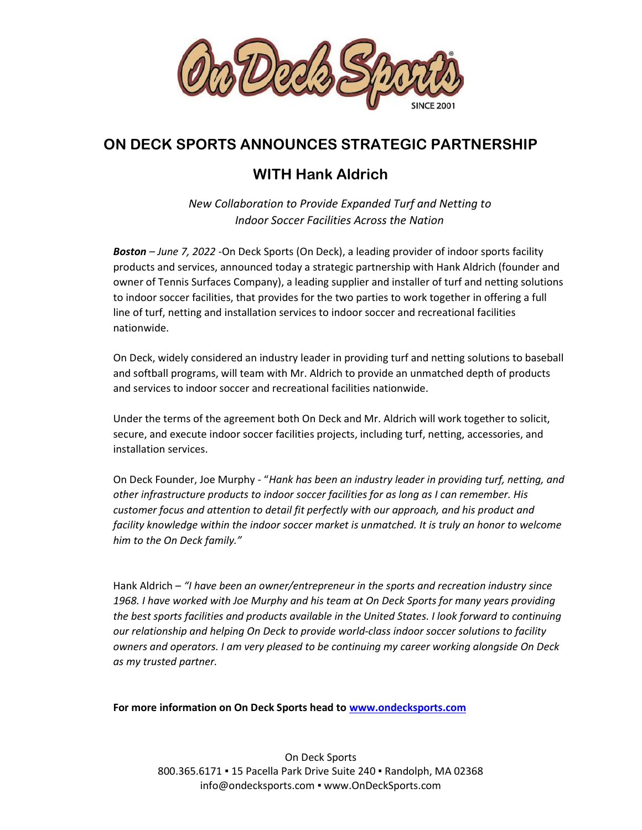

## ON DECK SPORTS ANNOUNCES STRATEGIC PARTNERSHIP

## WITH Hank Aldrich

New Collaboration to Provide Expanded Turf and Netting to Indoor Soccer Facilities Across the Nation

Boston - June 7, 2022 - On Deck Sports (On Deck), a leading provider of indoor sports facility products and services, announced today a strategic partnership with Hank Aldrich (founder and owner of Tennis Surfaces Company), a leading supplier and installer of turf and netting solutions to indoor soccer facilities, that provides for the two parties to work together in offering a full line of turf, netting and installation services to indoor soccer and recreational facilities nationwide.

On Deck, widely considered an industry leader in providing turf and netting solutions to baseball and softball programs, will team with Mr. Aldrich to provide an unmatched depth of products and services to indoor soccer and recreational facilities nationwide.

Under the terms of the agreement both On Deck and Mr. Aldrich will work together to solicit, secure, and execute indoor soccer facilities projects, including turf, netting, accessories, and installation services.

On Deck Founder, Joe Murphy - "Hank has been an industry leader in providing turf, netting, and other infrastructure products to indoor soccer facilities for as long as I can remember. His customer focus and attention to detail fit perfectly with our approach, and his product and facility knowledge within the indoor soccer market is unmatched. It is truly an honor to welcome him to the On Deck family."

Hank Aldrich – "I have been an owner/entrepreneur in the sports and recreation industry since 1968. I have worked with Joe Murphy and his team at On Deck Sports for many years providing the best sports facilities and products available in the United States. I look forward to continuing our relationship and helping On Deck to provide world-class indoor soccer solutions to facility owners and operators. I am very pleased to be continuing my career working alongside On Deck as my trusted partner.

For more information on On Deck Sports head to www.ondecksports.com

On Deck Sports 800.365.6171 ▪ 15 Pacella Park Drive Suite 240 ▪ Randolph, MA 02368 info@ondecksports.com ▪ www.OnDeckSports.com